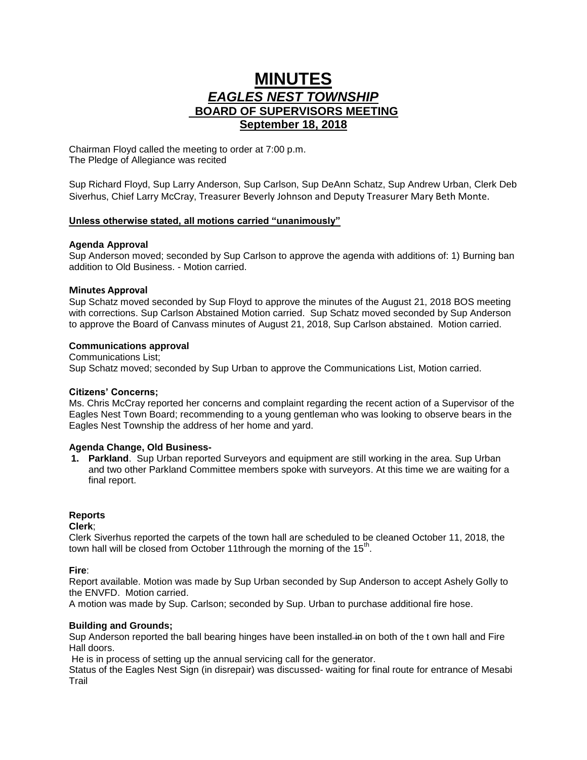# **MINUTES** *EAGLES NEST TOWNSHIP*  **BOARD OF SUPERVISORS MEETING September 18, 2018**

Chairman Floyd called the meeting to order at 7:00 p.m. The Pledge of Allegiance was recited

Sup Richard Floyd, Sup Larry Anderson, Sup Carlson, Sup DeAnn Schatz, Sup Andrew Urban, Clerk Deb Siverhus, Chief Larry McCray, Treasurer Beverly Johnson and Deputy Treasurer Mary Beth Monte.

# **Unless otherwise stated, all motions carried "unanimously"**

## **Agenda Approval**

Sup Anderson moved; seconded by Sup Carlson to approve the agenda with additions of: 1) Burning ban addition to Old Business. - Motion carried.

# **Minutes Approval**

Sup Schatz moved seconded by Sup Floyd to approve the minutes of the August 21, 2018 BOS meeting with corrections. Sup Carlson Abstained Motion carried. Sup Schatz moved seconded by Sup Anderson to approve the Board of Canvass minutes of August 21, 2018, Sup Carlson abstained. Motion carried.

# **Communications approval**

Communications List; Sup Schatz moved; seconded by Sup Urban to approve the Communications List, Motion carried.

## **Citizens' Concerns;**

Ms. Chris McCray reported her concerns and complaint regarding the recent action of a Supervisor of the Eagles Nest Town Board; recommending to a young gentleman who was looking to observe bears in the Eagles Nest Township the address of her home and yard.

## **Agenda Change, Old Business-**

**1. Parkland**. Sup Urban reported Surveyors and equipment are still working in the area. Sup Urban and two other Parkland Committee members spoke with surveyors. At this time we are waiting for a final report.

## **Reports**

**Clerk**;

Clerk Siverhus reported the carpets of the town hall are scheduled to be cleaned October 11, 2018, the town hall will be closed from October 11 through the morning of the  $15<sup>th</sup>$ .

**Fire**:

Report available. Motion was made by Sup Urban seconded by Sup Anderson to accept Ashely Golly to the ENVFD. Motion carried.

A motion was made by Sup. Carlson; seconded by Sup. Urban to purchase additional fire hose.

# **Building and Grounds;**

Sup Anderson reported the ball bearing hinges have been installed in on both of the t own hall and Fire Hall doors.

He is in process of setting up the annual servicing call for the generator.

Status of the Eagles Nest Sign (in disrepair) was discussed- waiting for final route for entrance of Mesabi **Trail**